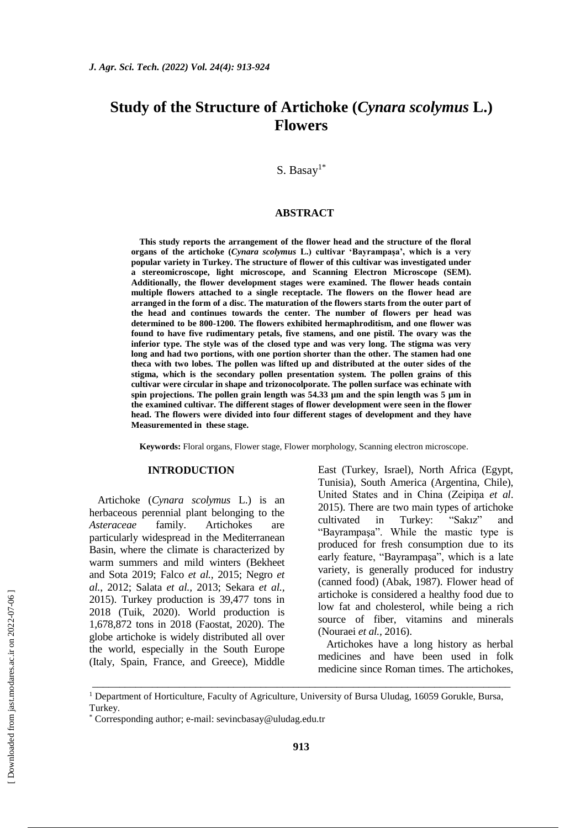# **Study of the Structure of Artichoke (***Cynara scolymus* **L.) Flowers**

S. Basay<sup>1\*</sup>

#### **ABSTRACT**

**This study reports the arrangement of the flower head and the structure of the floral organs of the artichoke (***Cynara scolymus* **L.) cultivar 'Bayrampaşa', which is a very popular variety in Turkey. The structure of flower of this cultivar was investigated under a stereomicroscope, light microscope, and Scanning Electron Microscope (SEM). Additionally, the flower development stages were examined. The flower heads contain multiple flowers attached to a single receptacle. The flowers on the flower head are arranged in the form of a disc. The maturation of the flowers starts from the outer part of the head and continues towards the center. The number of flowers per head was determined to be 800-1200. The flowers exhibited hermaphroditism, and one flower was found to have five rudimentary petals, five stamens, and one pistil. The ovary was the inferior type. The style was of the closed type and was very long. The stigma was very long and had two portions, with one portion shorter than the other. The stamen had one theca with two lobes. The pollen was lifted up and distributed at the outer sides of the stigma, which is the secondary pollen presentation system. The pollen grains of this cultivar were circular in shape and trizonocolporate. The pollen surface was echinate with spin projections. The pollen grain length was 54.33 µm and the spin length was 5 µm in the examined cultivar. The different stages of flower development were seen in the flower head. The flowers were divided into four different stages of development and they have Measuremented in these stage.**

**Keywords:** Floral organs, Flower stage, Flower morphology, Scanning electron microscope.

#### **INTRODUCTION**

Artichoke (*Cynara scolymus* L.) is an herbaceous perennial plant belonging to the *Asteraceae* family. Artichokes are particularly widespread in the Mediterranean Basin, where the climate is characterized by warm summers and mild winters (Bekheet and Sota 2019; Falco *et al.,* 2015; Negro *et al.*, 2012; Salata *et al.,* 2013; Sekara *et al.,*  2015). Turkey production is 39,477 tons in 2018 (Tuik, 2020). World production is 1,678,872 tons in 2018 (Faostat, 2020). The globe artichoke is widely distributed all over the world, especially in the South Europe (Italy, Spain, France, and Greece), Middle East (Turkey, Israel), North Africa (Egypt, Tunisia), South America (Argentina, Chile), United States and in China (Zeipiņa *et al*. 2015). There are two main types of artichoke cultivated in Turkey: "Sakız" and "Bayrampaşa". While the mastic type is produced for fresh consumption due to its early feature, "Bayrampaşa", which is a late variety, is generally produced for industry (canned food) (Abak, 1987). Flower head of artichoke is considered a healthy food due to low fat and cholesterol, while being a rich source of fiber, vitamins and minerals (Nouraei *et al.,* 2016).

Artichokes have a long history as herbal medicines and have been used in folk medicine since Roman times. The artichokes,

\_\_\_\_\_\_\_\_\_\_\_\_\_\_\_\_\_\_\_\_\_\_\_\_\_\_\_\_\_\_\_\_\_\_\_\_\_\_\_\_\_\_\_\_\_\_\_\_\_\_\_\_\_\_\_\_\_\_\_\_\_\_\_\_\_\_\_\_\_\_\_\_\_\_\_\_\_

<sup>&</sup>lt;sup>1</sup> Department of Horticulture, Faculty of Agriculture, University of Bursa Uludag, 16059 Gorukle, Bursa, Turkey.

<sup>\*</sup> Corresponding author; e-mail: [sevincbasay@uludag.edu.tr](mailto:sevincbasay@uludag.edu.tr)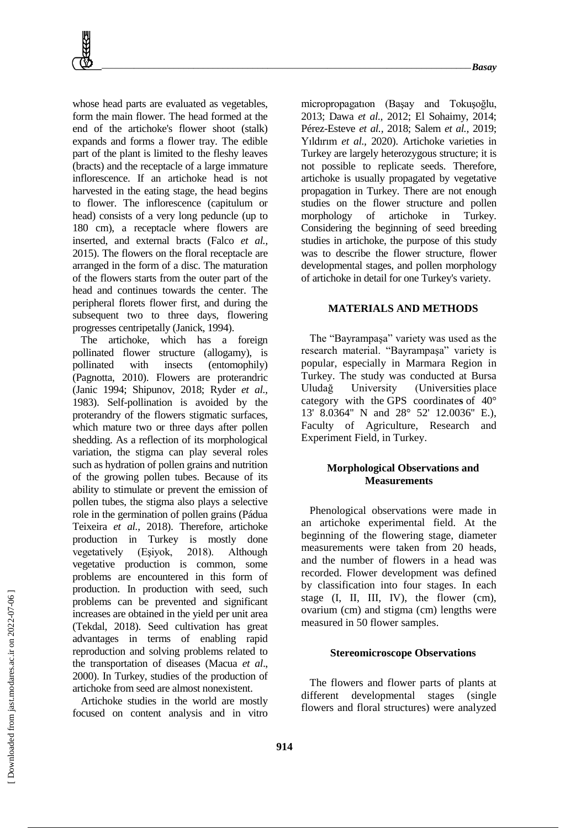whose head parts are evaluated as vegetables, form the main flower. The head formed at the end of the artichoke's flower shoot (stalk) expands and forms a flower tray. The edible part of the plant is limited to the fleshy leaves (bracts) and the receptacle of a large immature inflorescence. If an artichoke head is not harvested in the eating stage, the head begins to flower. The inflorescence (capitulum or head) consists of a very long peduncle (up to 180 cm), a receptacle where flowers are inserted, and external bracts (Falco *et al.,* 2015). The flowers on the floral receptacle are arranged in the form of a disc. The maturation of the flowers starts from the outer part of the head and continues towards the center. The peripheral florets flower first, and during the subsequent two to three days, flowering progresses centripetally (Janick, 1994).

The artichoke, which has a foreign pollinated flower structure (allogamy), is pollinated with insects (entomophily) (Pagnotta, 2010). Flowers are proterandric (Janic 1994; Shipunov, 2018; Ryder *et al.,* 1983). Self-pollination is avoided by the proterandry of the flowers stigmatic surfaces, which mature two or three days after pollen shedding. As a reflection of its morphological variation, the stigma can play several roles such as hydration of pollen grains and nutrition of the growing pollen tubes. Because of its ability to stimulate or prevent the emission of pollen tubes, the stigma also plays a selective role in the germination of pollen grains (Pádua Teixeira *et al.,* 2018). Therefore, artichoke production in Turkey is mostly done vegetatively (Eşiyok, 2018). Although vegetative production is common, some problems are encountered in this form of production. In production with seed, such problems can be prevented and significant increases are obtained in the yield per unit area (Tekdal, 2018). Seed cultivation has great advantages in terms of enabling rapid reproduction and solving problems related to the transportation of diseases (Macua *et al*., 2000). In Turkey, studies of the production of artichoke from seed are almost nonexistent.

Artichoke studies in the world are mostly focused on content analysis and in vitro micropropagatıon (Başay and Tokuşoğlu, 2013; Dawa *et al.,* 2012; El Sohaimy, 2014; Pérez-Esteve *et al.,* 2018; Salem *et al.,* 2019; Yıldırım *et al.,* 2020). Artichoke varieties in Turkey are largely heterozygous structure; it is not possible to replicate seeds. Therefore, artichoke is usually propagated by vegetative propagation in Turkey. There are not enough studies on the flower structure and pollen morphology of artichoke in Turkey. Considering the beginning of seed breeding studies in artichoke, the purpose of this study was to describe the flower structure, flower developmental stages, and pollen morphology of artichoke in detail for one Turkey's variety.

### **MATERIALS AND METHODS**

The "Bayrampaşa" variety was used as the research material. "Bayrampaşa" variety is popular, especially in Marmara Region in Turkey. The study was conducted at Bursa Uludağ University (Universities place category with the GPS coordinate**s** of 40° 13' 8.0364'' N and 28° 52' 12.0036'' E.), Faculty of Agriculture, Research and Experiment Field, in Turkey.

# **Morphological Observations and Measurements**

Phenological observations were made in an artichoke experimental field. At the beginning of the flowering stage, diameter measurements were taken from 20 heads, and the number of flowers in a head was recorded. Flower development was defined by classification into four stages. In each stage (I, II, III, IV), the flower (cm), ovarium (cm) and stigma (cm) lengths were measured in 50 flower samples.

# **Stereomicroscope Observations**

The flowers and flower parts of plants at different developmental stages (single flowers and floral structures) were analyzed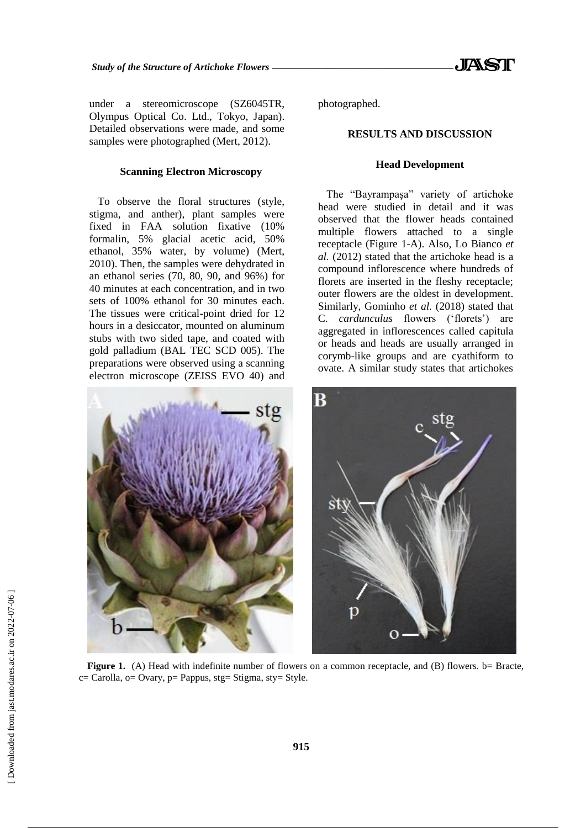under a stereomicroscope (SZ6045TR, Olympus Optical Co. Ltd., Tokyo, Japan). Detailed observations were made, and some samples were photographed (Mert, 2012).

#### **Scanning Electron Microscopy**

To observe the floral structures (style, stigma, and anther), plant samples were fixed in FAA solution fixative (10% formalin, 5% glacial acetic acid, 50% ethanol, 35% water, by volume) (Mert, 2010). Then, the samples were dehydrated in an ethanol series (70, 80, 90, and 96%) for 40 minutes at each concentration, and in two sets of 100% ethanol for 30 minutes each. The tissues were critical-point dried for 12 hours in a desiccator, mounted on aluminum stubs with two sided tape, and coated with gold palladium (BAL TEC SCD 005). The preparations were observed using a scanning electron microscope (ZEISS EVO 40) and

ste

photographed.

#### **RESULTS AND DISCUSSION**

#### **Head Development**

The "Bayrampaşa" variety of artichoke head were studied in detail and it was observed that the flower heads contained multiple flowers attached to a single receptacle (Figure 1-A). Also, Lo Bianco *et al.* (2012) stated that the artichoke head is a compound inflorescence where hundreds of florets are inserted in the fleshy receptacle; outer flowers are the oldest in development. Similarly, Gominho *et al.* (2018) stated that C. *cardunculus* flowers ('florets') are aggregated in inflorescences called capitula or heads and heads are usually arranged in corymb-like groups and are cyathiform to ovate. A similar study states that artichokes



**Figure 1.** (A) Head with indefinite number of flowers on a common receptacle, and (B) flowers. b= Bracte,  $c=$  Carolla,  $o=$  Ovary,  $p=$  Pappus,  $stg=$  Stigma,  $sty=$  Style.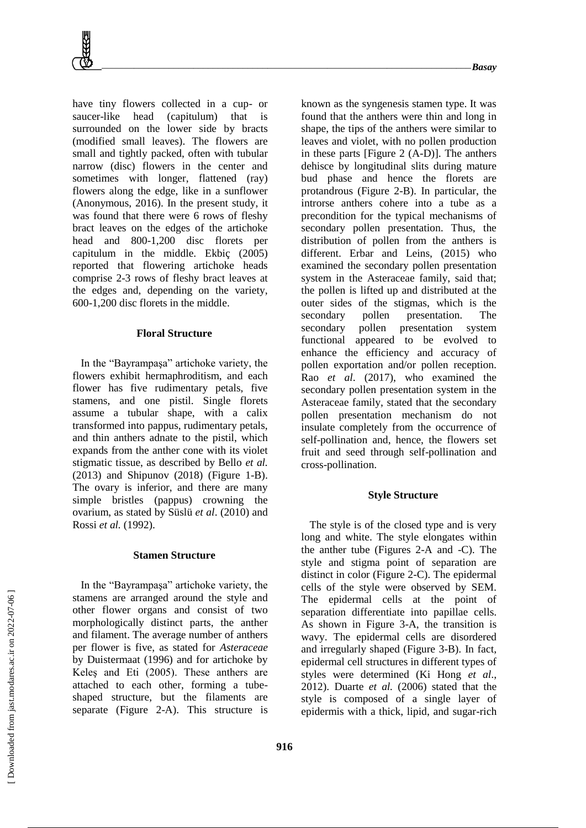

have tiny flowers collected in a cup- or saucer-like head (capitulum) that is surrounded on the lower side by bracts (modified small leaves). The flowers are small and tightly packed, often with tubular narrow (disc) flowers in the center and sometimes with longer, flattened (ray) flowers along the edge, like in a sunflower (Anonymous, 2016). In the present study, it was found that there were 6 rows of fleshy bract leaves on the edges of the artichoke head and 800-1,200 disc florets per capitulum in the middle. Ekbiç (2005) reported that flowering artichoke heads comprise 2-3 rows of fleshy bract leaves at the edges and, depending on the variety, 600-1,200 disc florets in the middle.

#### **Floral Structure**

In the "Bayrampaşa" artichoke variety, the flowers exhibit hermaphroditism, and each flower has five rudimentary petals, five stamens, and one pistil. Single florets assume a tubular shape, with a calix transformed into pappus, rudimentary petals, and thin anthers adnate to the pistil, which expands from the anther cone with its violet stigmatic tissue, as described by Bello *et al.* (2013) and Shipunov (2018) (Figure 1-B). The ovary is inferior, and there are many simple bristles (pappus) crowning the ovarium, as stated by Süslü *et al*. (2010) and Rossi *et al.* (1992).

#### **Stamen Structure**

In the "Bayrampaşa" artichoke variety, the stamens are arranged around the style and other flower organs and consist of two morphologically distinct parts, the anther and filament. The average number of anthers per flower is five, as stated for *Asteraceae* by Duistermaat (1996) and for artichoke by Keleş and Eti (2005). These anthers are attached to each other, forming a tubeshaped structure, but the filaments are separate (Figure 2-A). This structure is

known as the syngenesis stamen type. It was found that the anthers were thin and long in shape, the tips of the anthers were similar to leaves and violet, with no pollen production in these parts [Figure 2 (A-D)]. The anthers dehisce by longitudinal slits during mature bud phase and hence the florets are protandrous (Figure 2-B). In particular, the introrse anthers cohere into a tube as a precondition for the typical mechanisms of secondary pollen presentation. Thus, the distribution of pollen from the anthers is different. Erbar and Leins, (2015) who examined the secondary pollen presentation system in the Asteraceae family, said that; the pollen is lifted up and distributed at the outer sides of the stigmas, which is the secondary pollen presentation. The secondary pollen presentation system functional appeared to be evolved to enhance the efficiency and accuracy of pollen exportation and/or pollen reception. Rao *et al*. (2017), who examined the secondary pollen presentation system in the Asteraceae family, stated that the secondary pollen presentation mechanism do not insulate completely from the occurrence of self-pollination and, hence, the flowers set fruit and seed through self-pollination and cross-pollination.

#### **Style Structure**

The style is of the closed type and is very long and white. The style elongates within the anther tube (Figures 2-A and -C). The style and stigma point of separation are distinct in color (Figure 2-C). The epidermal cells of the style were observed by SEM. The epidermal cells at the point of separation differentiate into papillae cells. As shown in Figure 3-A, the transition is wavy. The epidermal cells are disordered and irregularly shaped (Figure 3-B). In fact, epidermal cell structures in different types of styles were determined (Ki Hong *et al*., 2012). Duarte *et al.* (2006) stated that the style is composed of a single layer of epidermis with a thick, lipid, and sugar-rich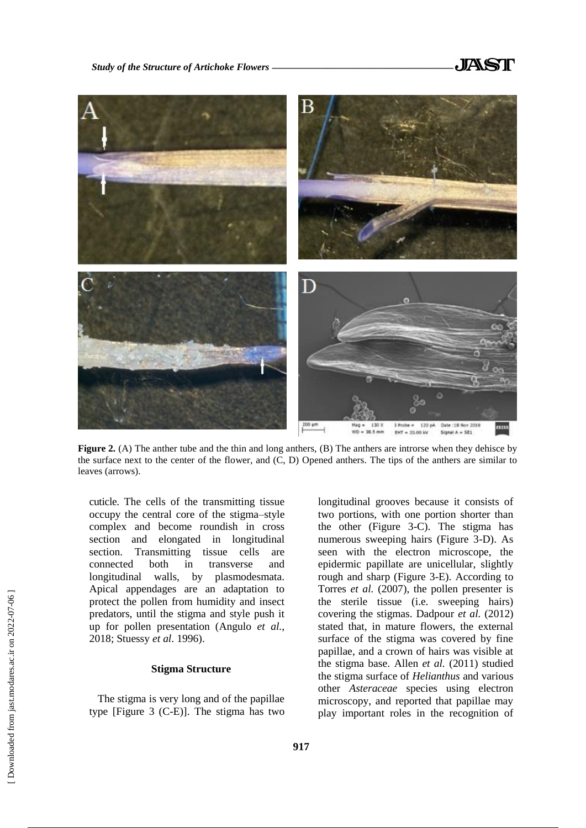

**Figure 2***.* (A) The anther tube and the thin and long anthers, (B) The anthers are introrse when they dehisce by the surface next to the center of the flower, and (C, D) Opened anthers. The tips of the anthers are similar to leaves (arrows).

cuticle. The cells of the transmitting tissue occupy the central core of the stigma–style complex and become roundish in cross section and elongated in longitudinal section. Transmitting tissue cells are connected both in transverse and longitudinal walls, by plasmodesmata. Apical appendages are an adaptation to protect the pollen from humidity and insect predators, until the stigma and style push it up for pollen presentation (Angulo *et al.*, 2018; Stuessy *et al*. 1996).

# **Stigma Structure**

The stigma is very long and of the papillae type [Figure 3 (C-E)]. The stigma has two longitudinal grooves because it consists of two portions, with one portion shorter than the other (Figure 3-C). The stigma has numerous sweeping hairs (Figure 3-D). As seen with the electron microscope, the epidermic papillate are unicellular, slightly rough and sharp (Figure 3-E). According to Torres *et al.* (2007), the pollen presenter is the sterile tissue (i.e. sweeping hairs) covering the stigmas. Dadpour *et al.* (2012) stated that, in mature flowers, the external surface of the stigma was covered by fine papillae, and a crown of hairs was visible at the stigma base. Allen *et al.* (2011) studied the stigma surface of *Helianthus* and various other *Asteraceae* species using electron microscopy, and reported that papillae may play important roles in the recognition of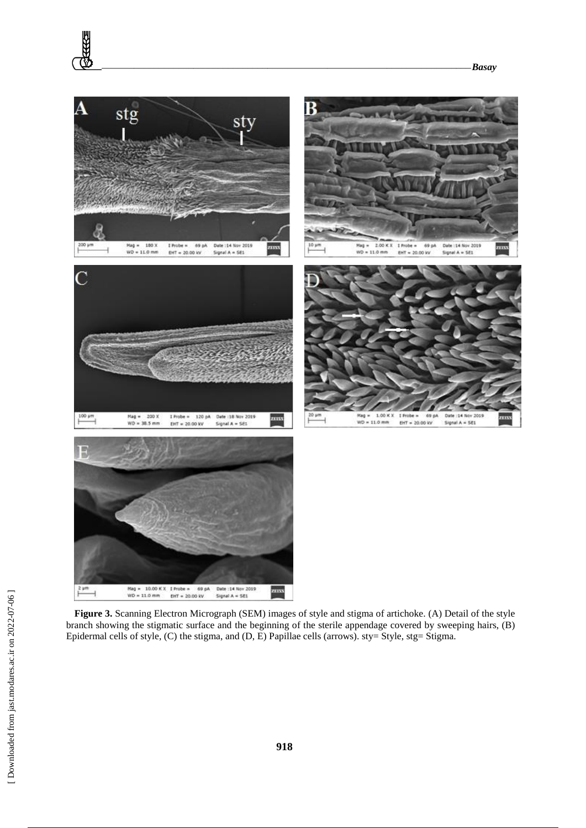

**Figure 3.** Scanning Electron Micrograph (SEM) images of style and stigma of artichoke. (A) Detail of the style branch showing the stigmatic surface and the beginning of the sterile appendage covered by sweeping hairs, (B) Epidermal cells of style, (C) the stigma, and (D, E) Papillae cells (arrows). sty= Style, stg= Stigma.

**RAZE**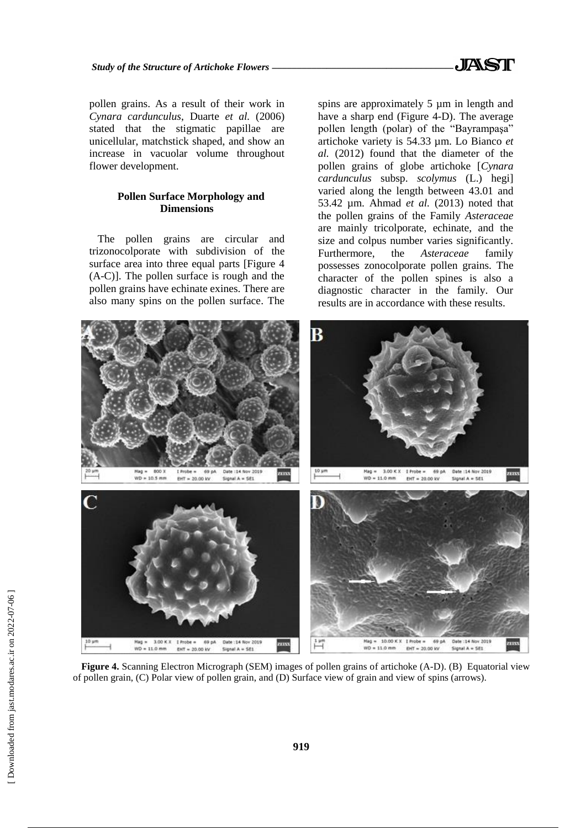pollen grains. As a result of their work in *Cynara cardunculus*, Duarte *et al.* (2006) stated that the stigmatic papillae are unicellular, matchstick shaped, and show an increase in vacuolar volume throughout flower development.

# **Pollen Surface Morphology and Dimensions**

The pollen grains are circular and trizonocolporate with subdivision of the surface area into three equal parts [Figure 4 (A-C)]. The pollen surface is rough and the pollen grains have echinate exines. There are also many spins on the pollen surface. The spins are approximately 5  $\mu$ m in length and have a sharp end (Figure 4-D). The average pollen length (polar) of the "Bayrampaşa" artichoke variety is 54.33 µm. Lo Bianco *et al.* (2012) found that the diameter of the pollen grains of globe artichoke [*Cynara cardunculus* subsp. *scolymus* (L.) hegi] varied along the length between 43.01 and 53.42 µm. Ahmad *et al.* (2013) noted that the pollen grains of the Family *Asteraceae* are mainly tricolporate, echinate, and the size and colpus number varies significantly. Furthermore, the *Asteraceae* family possesses zonocolporate pollen grains. The character of the pollen spines is also a diagnostic character in the family. Our results are in accordance with these results.



**Figure 4.** Scanning Electron Micrograph (SEM) images of pollen grains of artichoke (A-D). (B) Equatorial view of pollen grain, (C) Polar view of pollen grain, and (D) Surface view of grain and view of spins (arrows).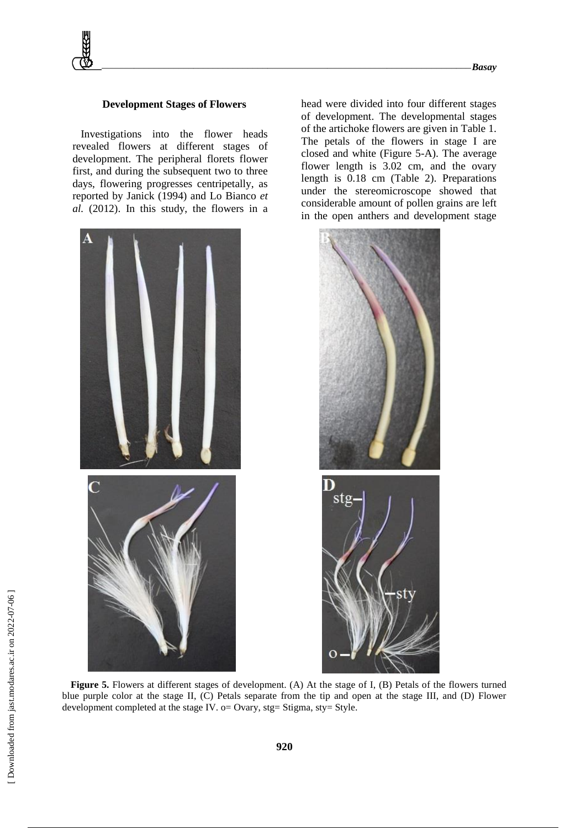#### **Development Stages of Flowers**

Investigations into the flower heads revealed flowers at different stages of development. The peripheral florets flower first, and during the subsequent two to three days, flowering progresses centripetally, as reported by Janick (1994) and Lo Bianco *et al.* (2012). In this study, the flowers in a



head were divided into four different stages of development. The developmental stages of the artichoke flowers are given in Table 1. The petals of the flowers in stage I are closed and white (Figure 5-A). The average flower length is 3.02 cm, and the ovary length is 0.18 cm (Table 2). Preparations under the stereomicroscope showed that considerable amount of pollen grains are left in the open anthers and development stage



**Figure 5.** Flowers at different stages of development. (A) At the stage of I, (B) Petals of the flowers turned blue purple color at the stage II, (C) Petals separate from the tip and open at the stage III, and (D) Flower development completed at the stage IV. o= Ovary, stg= Stigma, sty= Style.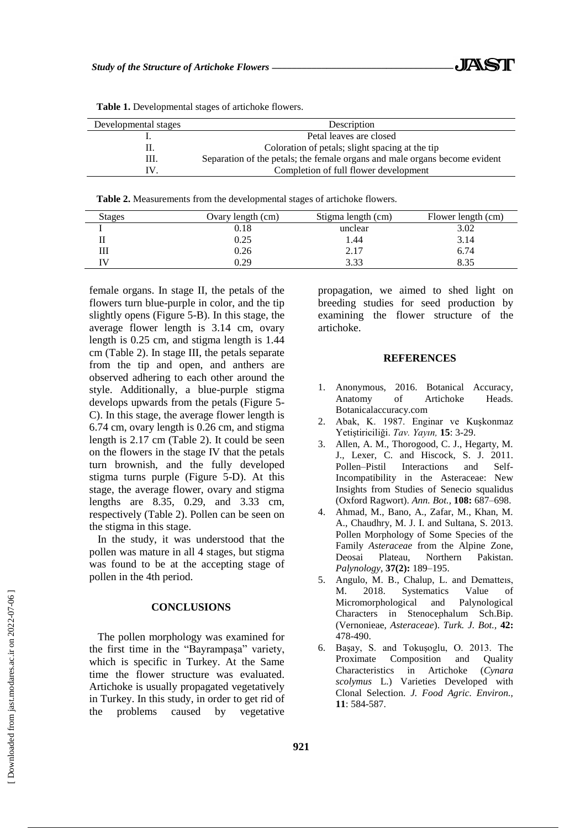| Developmental stages | Description                                                                |  |
|----------------------|----------------------------------------------------------------------------|--|
|                      | Petal leaves are closed                                                    |  |
| 11.                  | Coloration of petals; slight spacing at the tip                            |  |
| Ш.                   | Separation of the petals; the female organs and male organs become evident |  |
|                      | Completion of full flower development                                      |  |

**Table 1.** Developmental stages of artichoke flowers.

**Table 2.** Measurements from the developmental stages of artichoke flowers.

| <b>Stages</b> | Ovary length (cm) | Stigma length (cm) | Flower length (cm) |
|---------------|-------------------|--------------------|--------------------|
|               | 0.18              | unclear            | 3.02               |
|               | 0.25              | 1.44               | 3.14               |
|               | 0.26              | 2.17               | 6.74               |
|               | 0.29              | 3.33               | 8.35               |

female organs. In stage II, the petals of the flowers turn blue-purple in color, and the tip slightly opens (Figure 5-B). In this stage, the average flower length is 3.14 cm, ovary length is 0.25 cm, and stigma length is 1.44 cm (Table 2). In stage III, the petals separate from the tip and open, and anthers are observed adhering to each other around the style. Additionally, a blue-purple stigma develops upwards from the petals (Figure 5- C). In this stage, the average flower length is 6.74 cm, ovary length is 0.26 cm, and stigma length is 2.17 cm (Table 2). It could be seen on the flowers in the stage IV that the petals turn brownish, and the fully developed stigma turns purple (Figure 5-D). At this stage, the average flower, ovary and stigma lengths are 8.35, 0.29, and 3.33 cm, respectively (Table 2). Pollen can be seen on the stigma in this stage.

In the study, it was understood that the pollen was mature in all 4 stages, but stigma was found to be at the accepting stage of pollen in the 4th period.

#### **CONCLUSIONS**

The pollen morphology was examined for the first time in the "Bayrampaşa" variety, which is specific in Turkey. At the Same time the flower structure was evaluated. Artichoke is usually propagated vegetatively in Turkey. In this study, in order to get rid of the problems caused by vegetative propagation, we aimed to shed light on breeding studies for seed production by examining the flower structure of the artichoke.

# **REFERENCES**

- 1. Anonymous, 2016. Botanical Accuracy, Anatomy of Artichoke Heads. Botanicalaccuracy.com
- 2. Abak, K. 1987. Enginar ve Kuşkonmaz Yetiştiriciliği. *Tav. Yayın,* **15**: 3-29.
- 3. Allen, A. M., Thorogood, C. J., Hegarty, M. J., Lexer, C. and Hiscock, S. J. 2011. Pollen–Pistil Interactions and Self-Incompatibility in the Asteraceae: New Insights from Studies of Senecio squalidus (Oxford Ragwort). *Ann. Bot.,* **108:** 687–698.
- 4. Ahmad, M., Bano, A., Zafar, M., Khan, M. A., Chaudhry, M. J. I. and Sultana, S. 2013. Pollen Morphology of Some Species of the Family *Asteraceae* from the Alpine Zone, Deosai Plateau, Northern Pakistan. *Palynology,* **37(2):** 189–195.
- 5. Angulo, M. B., Chalup, L. and Dematteıs, M. 2018. Systematics Value of Micromorphological and Palynological Characters in Stenocephalum Sch.Bip. (Vernonieae, *Asteraceae*). *Turk. J. Bot.,* **42:** 478-490.
- 6. Başay, S. and Tokuşoglu, O. 2013. The Proximate Composition and Quality Characteristics in Artichoke (*Cynara scolymus* L.) Varieties Developed with Clonal Selection. *J. Food Agric. Environ.,* **11**: 584-587.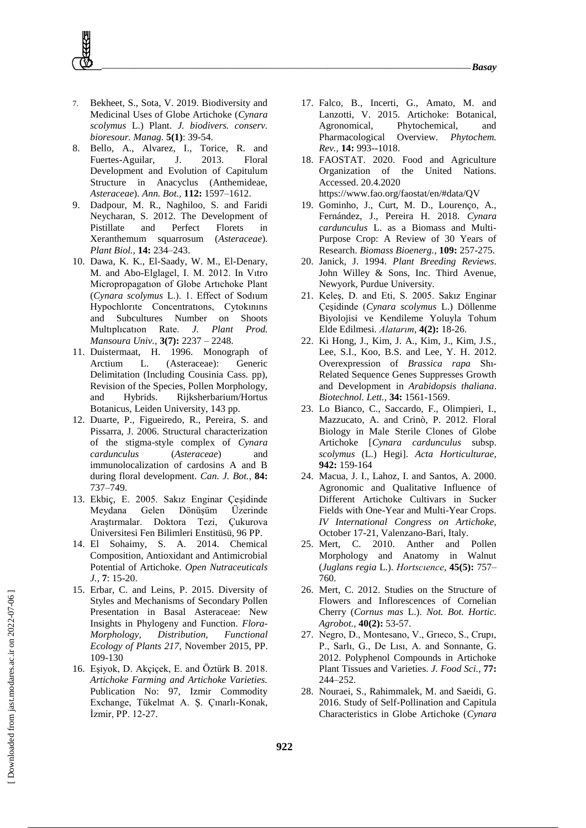- 7. Bekheet, S., Sota, V. 2019. Biodiversity and Medicinal Uses of Globe Artichoke (*Cynara scolymus* L.) Plant. *J. biodivers. conserv. bioresour. Manag.* **5(1)**: 39-54.
- 8. Bello, A., Alvarez, I., Torice, R. and Fuertes-Aguilar, J. 2013. Floral Development and Evolution of Capitulum Structure in Anacyclus (Anthemideae, *Asteraceae*). *Ann. Bot.,* **112:** 1597–1612.
- 9. Dadpour, M. R., Naghiloo, S. and Faridi Neycharan, S. 2012. The Development of Pistillate and Perfect Florets in Xeranthemum squarrosum (*Asteraceae*). *Plant Biol.,* **14:** 234–243.
- 10. Dawa, K. K., El-Saady, W. M., El-Denary, M. and Abo-Elglagel, I. M. 2012. In Vıtro Micropropagatıon of Globe Artıchoke Plant (*Cynara scolymus* L.). 1. Effect of Sodıum Hypochlorıte Concentratıons, Cytokınıns and Subcultures Number on Shoots Multıplıcatıon Rate. *J. Plant Prod. Mansoura Univ.,* **3(7):** 2237 – 2248.
- 11. Duistermaat, H. 1996. Monograph of Arctium L. (Asteraceae): Generic Delimitation (Including Cousinia Cass. pp), Revision of the Species, Pollen Morphology, and Hybrids. Rijksherbarium/Hortus Botanicus, Leiden University, 143 pp.
- 12. Duarte, P., Figueiredo, R., Pereira, S. and Pissarra, J. 2006. Structural characterization of the stigma-style complex of *Cynara cardunculus* (*Asteraceae*) and immunolocalization of cardosins A and B during floral development. *Can. J. Bot.,* **84:** 737–749.
- 13. Ekbiç, E. 2005. Sakız Enginar Çeşidinde Meydana Gelen Dönüşüm Üzerinde Araştırmalar. Doktora Tezi, Çukurova Üniversitesi Fen Bilimleri Enstitüsü, 96 PP.
- 14. El Sohaimy, S. A. 2014. Chemical Composition, Antioxidant and Antimicrobial Potential of Artichoke. *Open Nutraceuticals J.,* **7**: 15-20.
- 15. Erbar, C. and Leins, P. 2015. Diversity of Styles and Mechanisms of Secondary Pollen Presentation in Basal Asteraceae: New Insights in Phylogeny and Function. *Flora-Morphology, Distribution, Functional Ecology of Plants 217,* November 2015, PP. 109-130
- 16. Eşiyok, D. Akçiçek, E. and Öztürk B. 2018. *Artichoke Farming and Artichoke Varieties.* Publication No: 97, Izmir Commodity Exchange, Tükelmat A. Ş. Çınarlı-Konak, İzmir, PP. 12-27.
- 17. Falco, B., Incerti, G., Amato, M. and Lanzotti, V. 2015. Artichoke: Botanical, Agronomical, Phytochemical, and Pharmacological Overview. *Phytochem. Rev.,* **14:** 993--1018.
- 18. FAOSTAT. 2020. Food and Agriculture Organization of the United Nations. Accessed. 20.4.2020 https://www.fao.org/faostat/en/#data/QV
- 19. Gominho, J., Curt, M. D., Lourenço, A., Fernández, J., Pereira H. 2018. *Cynara cardunculus* L. as a Biomass and Multi-Purpose Crop: A Review of 30 Years of Research. *Biomass Bioenerg.,* **109:** 257-275.
- 20. Janick, J. 1994. *Plant Breeding Reviews*. John Willey & Sons, Inc. Third Avenue, Newyork, Purdue University.
- 21. Keleş, D. and Eti, S. 2005. Sakız Enginar Çeşidinde (*Cynara scolymus* L.) Döllenme Biyolojisi ve Kendileme Yoluyla Tohum Elde Edilmesi. *Alatarım*, **4(2):** 18-26.
- 22. Ki Hong, J., Kim, J. A., Kim, J., Kim, J.S., Lee, S.I., Koo, B.S. and Lee, Y. H. 2012. Overexpression of *Brassica rapa* Shı-Related Sequence Genes Suppresses Growth and Development in *Arabidopsis thaliana*. *Biotechnol. Lett.,* **34:** 1561-1569.
- 23. Lo Bianco, C., Saccardo, F., Olimpieri, I., Mazzucato, A. and Crinò, P. 2012. Floral Biology in Male Sterile Clones of Globe Artichoke [*Cynara cardunculus* subsp. *scolymus* (L.) Hegi]. *Acta Horticulturae,* **942:** 159-164
- 24. Macua, J. I., Lahoz, I. and Santos, A. 2000. Agronomic and Qualitative Influence of Different Artichoke Cultivars in Sucker Fields with One-Year and Multi-Year Crops. *IV International Congress on Artichoke,* October 17-21, Valenzano-Bari, Italy.
- 25. Mert, C. 2010. Anther and Pollen Morphology and Anatomy in Walnut (*Juglans regia* L.). *Hortscıence*, **45(5):** 757– 760.
- 26. Mert, C. 2012. Studies on the Structure of Flowers and Inflorescences of Cornelian Cherry (*Cornus mas* L.). *Not. Bot. Hortic. Agrobot.,* **40(2):** 53-57.
- 27. Negro, D., Montesano, V., Grıeco, S., Crupı, P., Sarlı, G., De Lısı, A. and Sonnante, G. 2012. Polyphenol Compounds in Artichoke Plant Tissues and Varieties. *J. Food Sci.,* **77:** 244–252.
- 28. Nouraei, S., Rahimmalek, M. and Saeidi, G. 2016. Study of Self-Pollination and Capitula Characteristics in Globe Artichoke (*Cynara*

**922**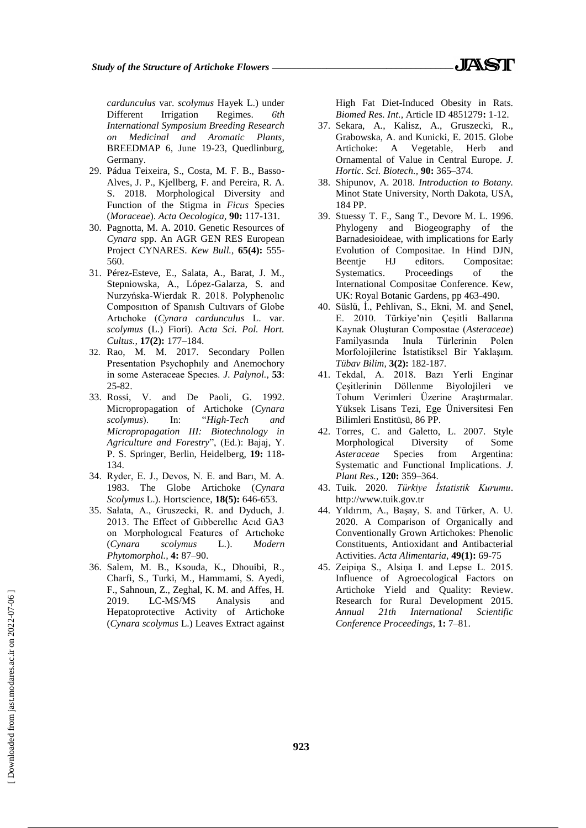*cardunculus* var. *scolymus* Hayek L.) under Different Irrigation Regimes. *6th International Symposium Breeding Research on Medicinal and Aromatic Plants*, BREEDMAP 6, June 19-23, Quedlinburg, Germany.

- 29. Pádua Teixeira, S., Costa, M. F. B., Basso-Alves, J. P., Kjellberg, F. and Pereira, R. A. S. 2018. Morphological Diversity and Function of the Stigma in *Ficus* Species (*Moraceae*). *Acta Oecologica,* **90:** 117-131.
- 30. Pagnotta, M. A. 2010. Genetic Resources of *Cynara* spp. An AGR GEN RES European Project CYNARES. *Kew Bull.,* **65(4):** 555- 560.
- 31. Pérez-Esteve, E., Salata, A., Barat, J. M., Stepniowska, A., López-Galarza, S. and Nurzyńska-Wierdak R. 2018. Polyphenolıc Composıtıon of Spanısh Cultıvars of Globe Artıchoke (*Cynara cardunculus* L. var. *scolymus* (L.) Fiori). A*cta Sci. Pol. Hort. Cultus.,* **17(2):** 177–184.
- 32. Rao, M. M. 2017. Secondary Pollen Presentation Psychophıly and Anemochory in some Asteraceae Specıes. *J. Palynol.*, **53**: 25-82.
- 33. Rossi, V. and De Paoli, G. 1992. Micropropagation of Artichoke (*Cynara scolymus*). In: "*High-Tech and Micropropagation III: Biotechnology in Agriculture and Forestry*", (Ed.): Bajaj, Y. P. S. Springer, Berlin, Heidelberg, **19:** 118- 134.
- 34. Ryder, E. J., Devos, N. E. and Barı, M. A. 1983. The Globe Artichoke (*Cynara Scolymus* L.). Hortscience, **18(5):** 646-653.
- 35. Sałata, A., Gruszecki, R. and Dyduch, J. 2013. The Effect of Gıbberellıc Acıd GA3 on Morphologıcal Features of Artıchoke (*Cynara scolymus* L.). *Modern Phytomorphol.,* **4:** 87–90.
- 36. Salem, M. B., Ksouda, K., Dhouibi, R., Charfi, S., Turki, M., Hammami, S. Ayedi, F., Sahnoun, Z., Zeghal, K. M. and Affes, H. 2019. LC-MS/MS Analysis and Hepatoprotective Activity of Artichoke (*Cynara scolymus* L.) Leaves Extract against

High Fat Diet-Induced Obesity in Rats. *Biomed Res. Int.,* Article ID 4851279**:** 1-12.

- 37. Sekara, A., Kalisz, A., Gruszecki, R., Grabowska, A. and Kunicki, E. 2015. Globe Artichoke: A Vegetable, Herb and Ornamental of Value in Central Europe. *J. Hortic. Sci. Biotech.,* **90:** 365–374.
- 38. Shipunov, A. 2018. *Introduction to Botany.* Minot State University, North Dakota, USA, 184 PP.
- 39. Stuessy T. F., Sang T., Devore M. L. 1996. Phylogeny and Biogeography of the Barnadesioideae, with implications for Early Evolution of Compositae. In Hind DJN, Beentje HJ editors. Compositae: Systematics. Proceedings of the International Compositae Conference. Kew, UK: Royal Botanic Gardens, pp 463-490.
- 40. Süslü, İ., Pehlivan, S., Ekni, M. and Şenel, E. 2010. Türkiye'nin Çeşitli Ballarına Kaynak Oluşturan Composıtae (*Asteraceae*) Familyasında Inula Türlerinin Polen Morfolojilerine İstatistiksel Bir Yaklaşım. *Tübav Bilim,* **3(2):** 182-187.
- 41. Tekdal, A. 2018. Bazı Yerli Enginar Çeşitlerinin Döllenme Biyolojileri ve Tohum Verimleri Üzerine Araştırmalar. Yüksek Lisans Tezi, Ege Üniversitesi Fen Bilimleri Enstitüsü, 86 PP.
- 42. Torres, C. and Galetto, L. 2007. Style Morphological Diversity of Some *Asteraceae* Species from Argentina: Systematic and Functional Implications. *J. Plant Res.,* **120:** 359–364.
- 43. Tuik. 2020. *Türkiye İstatistik Kurumu*. http://www.tuik.gov.tr
- 44. Yıldırım, A., Başay, S. and Türker, A. U. 2020. A Comparison of Organically and Conventionally Grown Artichokes: Phenolic Constituents, Antioxidant and Antibacterial Activities. *Acta Alimentaria,* **49(1):** 69-75
- 45. Zeipiņa S., Alsiņa I. and Lepse L. 2015. Influence of Agroecological Factors on Artichoke Yield and Quality: Review. Research for Rural Development 2015. *Annual 21th International Scientific Conference Proceedings*, **1:** 7–81.